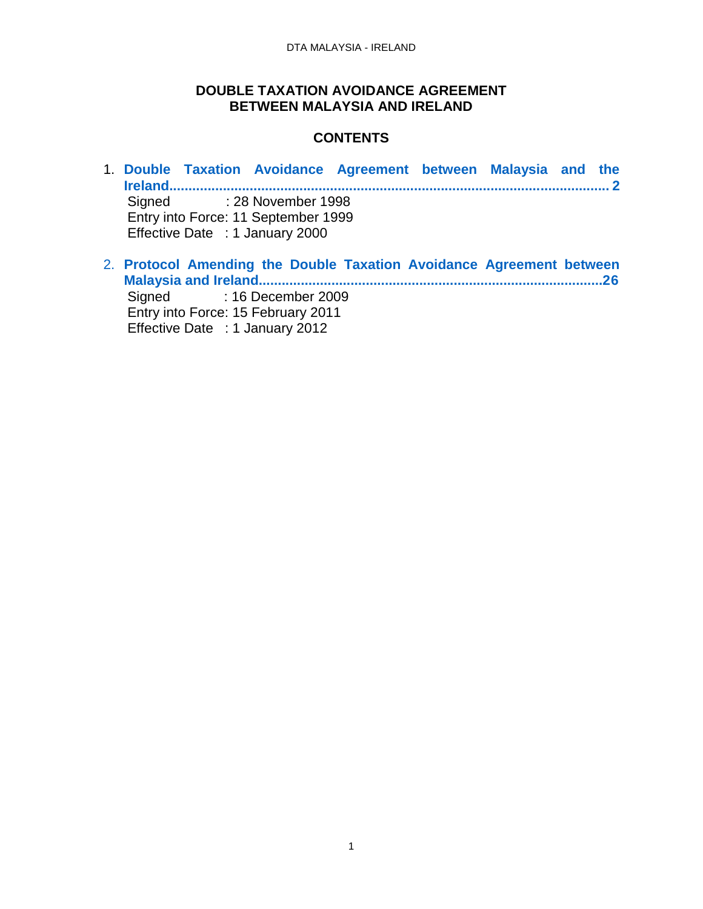### **DOUBLE TAXATION AVOIDANCE AGREEMENT BETWEEN MALAYSIA AND IRELAND**

## **CONTENTS**

- 1. **[Double Taxation Avoidance Agreement between Malaysia and the](#page-1-0)  [Ireland...................................................................................................................](#page-1-0) 2** Signed : 28 November 1998 Entry into Force: 11 September 1999 Effective Date : 1 January 2000
- 2. **[Protocol Amending the Double Taxation Avoidance Agreement between](#page-25-0)  [Malaysia and Ireland..........................................................................................26](#page-25-0)** Signed : 16 December 2009 Entry into Force: 15 February 2011 Effective Date : 1 January 2012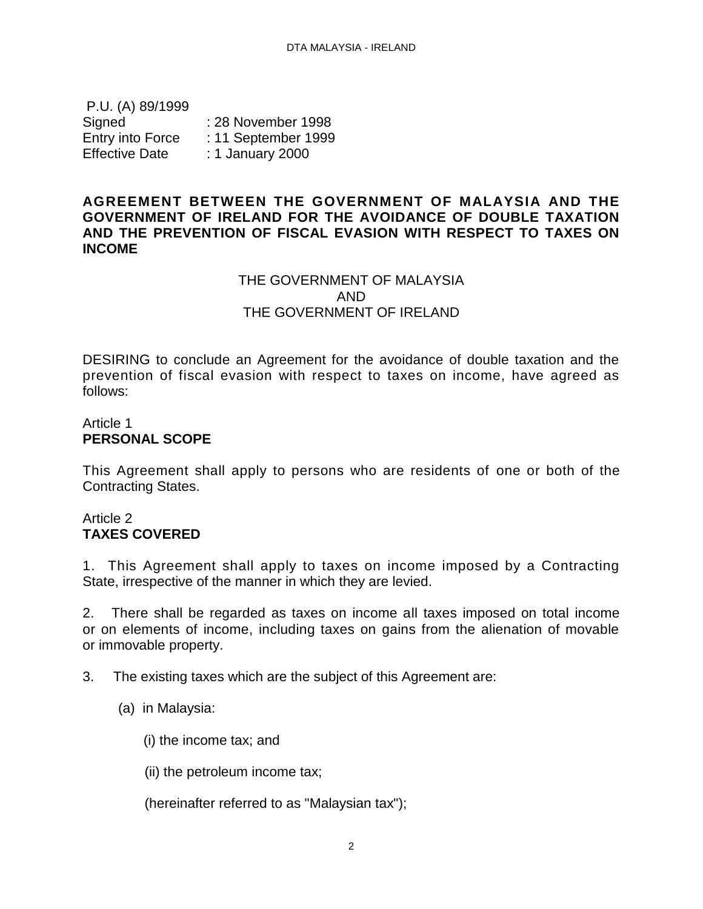<span id="page-1-0"></span>P.U. (A) 89/1999 Signed : 28 November 1998 Entry into Force : 11 September 1999 Effective Date : 1 January 2000

#### **AGREEMENT BETWEEN THE GOVERNMENT OF MALAYSIA AND THE GOVERNMENT OF IRELAND FOR THE AVOIDANCE OF DOUBLE TAXATION AND THE PREVENTION OF FISCAL EVASION WITH RESPECT TO TAXES ON INCOME**

### THE GOVERNMENT OF MALAYSIA AND THE GOVERNMENT OF IRELAND

DESIRING to conclude an Agreement for the avoidance of double taxation and the prevention of fiscal evasion with respect to taxes on income, have agreed as follows:

#### Article 1 **PERSONAL SCOPE**

This Agreement shall apply to persons who are residents of one or both of the Contracting States.

#### Article 2 **TAXES COVERED**

1. This Agreement shall apply to taxes on income imposed by a Contracting State, irrespective of the manner in which they are levied.

2. There shall be regarded as taxes on income all taxes imposed on total income or on elements of income, including taxes on gains from the alienation of movable or immovable property.

3. The existing taxes which are the subject of this Agreement are:

(a) in Malaysia:

(i) the income tax; and

(ii) the petroleum income tax;

(hereinafter referred to as "Malaysian tax");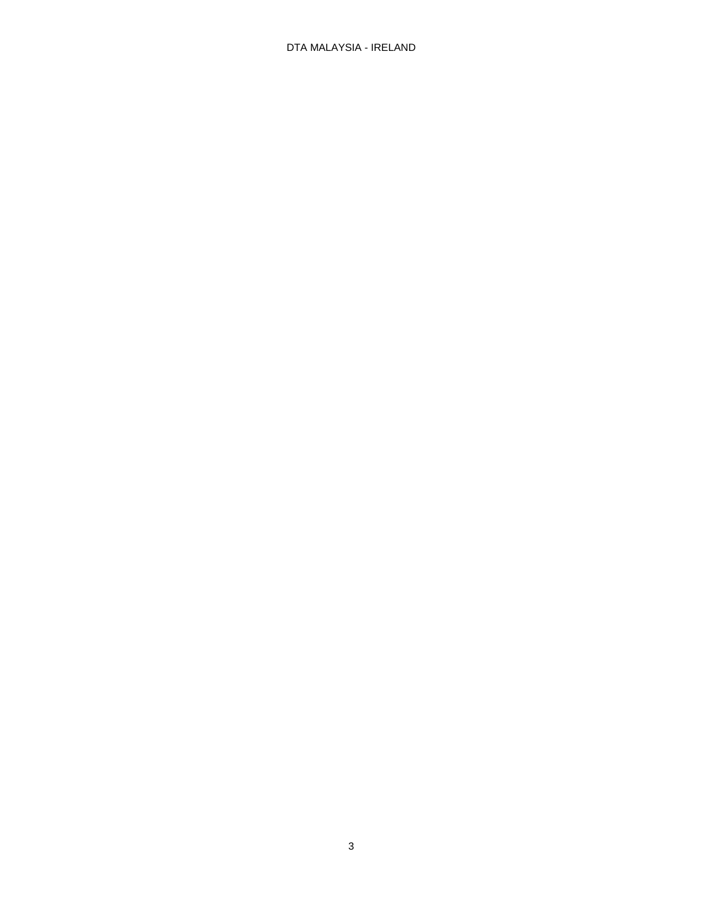#### DTA MALAYSIA - IRELAND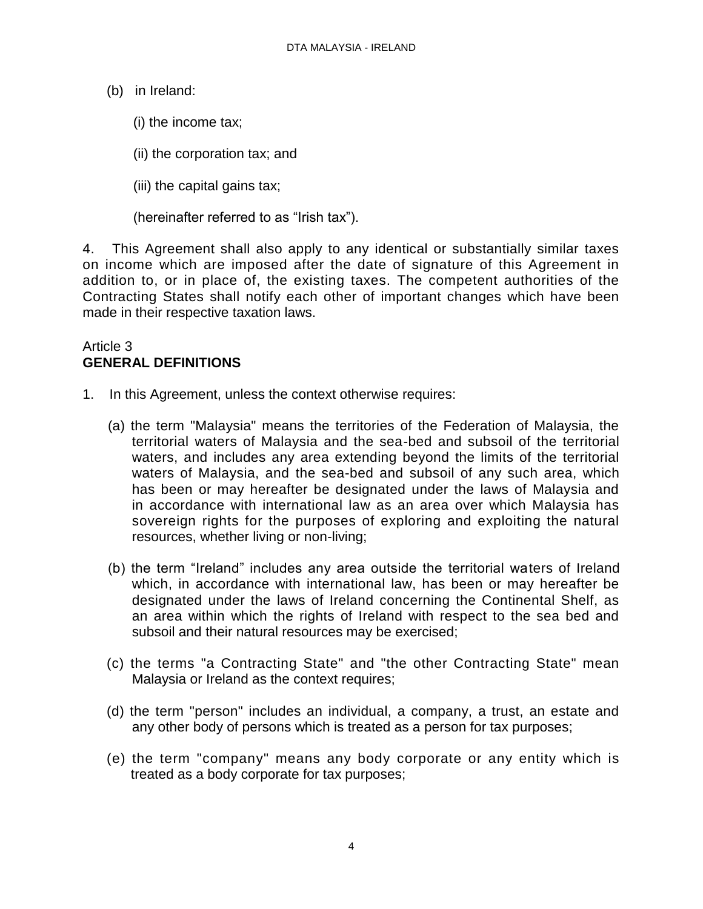(b) in Ireland:

- (i) the income tax;
- (ii) the corporation tax; and
- (iii) the capital gains tax;

(hereinafter referred to as "Irish tax").

4. This Agreement shall also apply to any identical or substantially similar taxes on income which are imposed after the date of signature of this Agreement in addition to, or in place of, the existing taxes. The competent authorities of the Contracting States shall notify each other of important changes which have been made in their respective taxation laws.

#### Article 3 **GENERAL DEFINITIONS**

- 1. In this Agreement, unless the context otherwise requires:
	- (a) the term "Malaysia" means the territories of the Federation of Malaysia, the territorial waters of Malaysia and the sea-bed and subsoil of the territorial waters, and includes any area extending beyond the limits of the territorial waters of Malaysia, and the sea-bed and subsoil of any such area, which has been or may hereafter be designated under the laws of Malaysia and in accordance with international law as an area over which Malaysia has sovereign rights for the purposes of exploring and exploiting the natural resources, whether living or non-living;
	- (b) the term "Ireland" includes any area outside the territorial waters of Ireland which, in accordance with international law, has been or may hereafter be designated under the laws of Ireland concerning the Continental Shelf, as an area within which the rights of Ireland with respect to the sea bed and subsoil and their natural resources may be exercised;
	- (c) the terms "a Contracting State" and "the other Contracting State" mean Malaysia or Ireland as the context requires;
	- (d) the term "person" includes an individual, a company, a trust, an estate and any other body of persons which is treated as a person for tax purposes;
	- (e) the term "company" means any body corporate or any entity which is treated as a body corporate for tax purposes;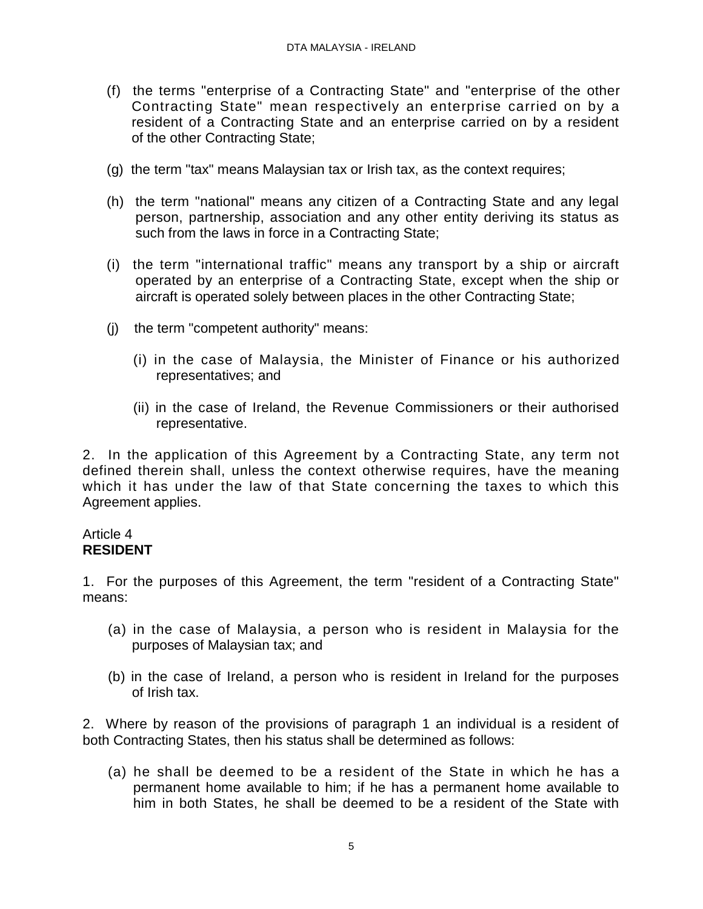- (f) the terms "enterprise of a Contracting State" and "enterprise of the other Contracting State" mean respectively an enterprise carried on by a resident of a Contracting State and an enterprise carried on by a resident of the other Contracting State;
- (g) the term "tax" means Malaysian tax or Irish tax, as the context requires;
- (h) the term "national" means any citizen of a Contracting State and any legal person, partnership, association and any other entity deriving its status as such from the laws in force in a Contracting State;
- (i) the term "international traffic" means any transport by a ship or aircraft operated by an enterprise of a Contracting State, except when the ship or aircraft is operated solely between places in the other Contracting State;
- (j) the term "competent authority" means:
	- (i) in the case of Malaysia, the Minister of Finance or his authorized representatives; and
	- (ii) in the case of Ireland, the Revenue Commissioners or their authorised representative.

2. In the application of this Agreement by a Contracting State, any term not defined therein shall, unless the context otherwise requires, have the meaning which it has under the law of that State concerning the taxes to which this Agreement applies.

#### Article 4 **RESIDENT**

1. For the purposes of this Agreement, the term "resident of a Contracting State" means:

- (a) in the case of Malaysia, a person who is resident in Malaysia for the purposes of Malaysian tax; and
- (b) in the case of Ireland, a person who is resident in Ireland for the purposes of Irish tax.

2. Where by reason of the provisions of paragraph 1 an individual is a resident of both Contracting States, then his status shall be determined as follows:

(a) he shall be deemed to be a resident of the State in which he has a permanent home available to him; if he has a permanent home available to him in both States, he shall be deemed to be a resident of the State with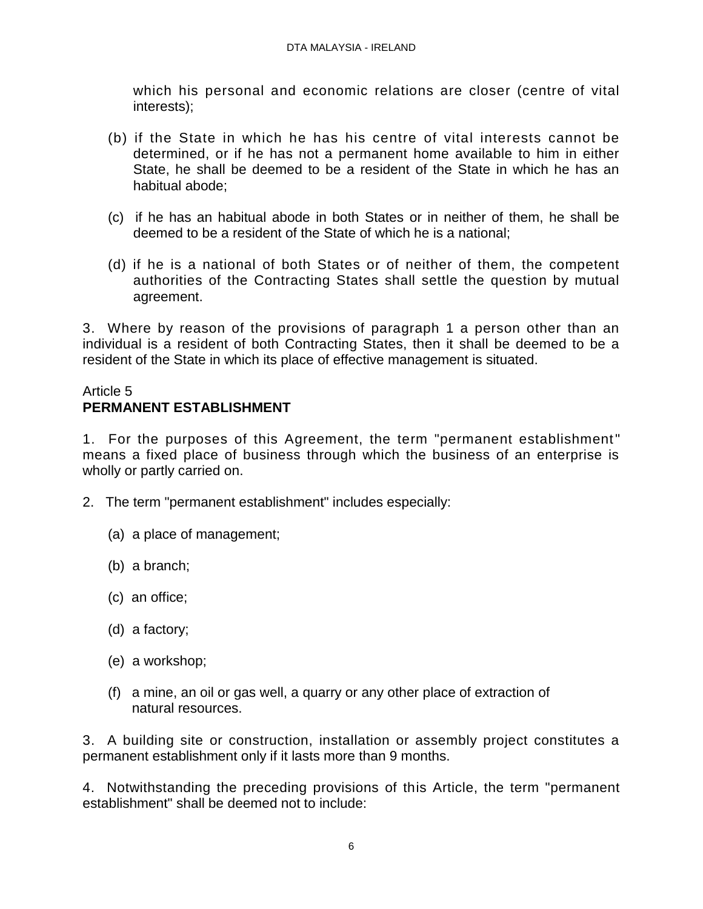which his personal and economic relations are closer (centre of vital interests);

- (b) if the State in which he has his centre of vital interests cannot be determined, or if he has not a permanent home available to him in either State, he shall be deemed to be a resident of the State in which he has an habitual abode;
- (c) if he has an habitual abode in both States or in neither of them, he shall be deemed to be a resident of the State of which he is a national;
- (d) if he is a national of both States or of neither of them, the competent authorities of the Contracting States shall settle the question by mutual agreement.

3. Where by reason of the provisions of paragraph 1 a person other than an individual is a resident of both Contracting States, then it shall be deemed to be a resident of the State in which its place of effective management is situated.

## Article 5 **PERMANENT ESTABLISHMENT**

1. For the purposes of this Agreement, the term "permanent establishment" means a fixed place of business through which the business of an enterprise is wholly or partly carried on.

- 2. The term "permanent establishment" includes especially:
	- (a) a place of management;
	- (b) a branch;
	- (c) an office;
	- (d) a factory;
	- (e) a workshop;
	- (f) a mine, an oil or gas well, a quarry or any other place of extraction of natural resources.

3. A building site or construction, installation or assembly project constitutes a permanent establishment only if it lasts more than 9 months.

4. Notwithstanding the preceding provisions of this Article, the term "permanent establishment" shall be deemed not to include: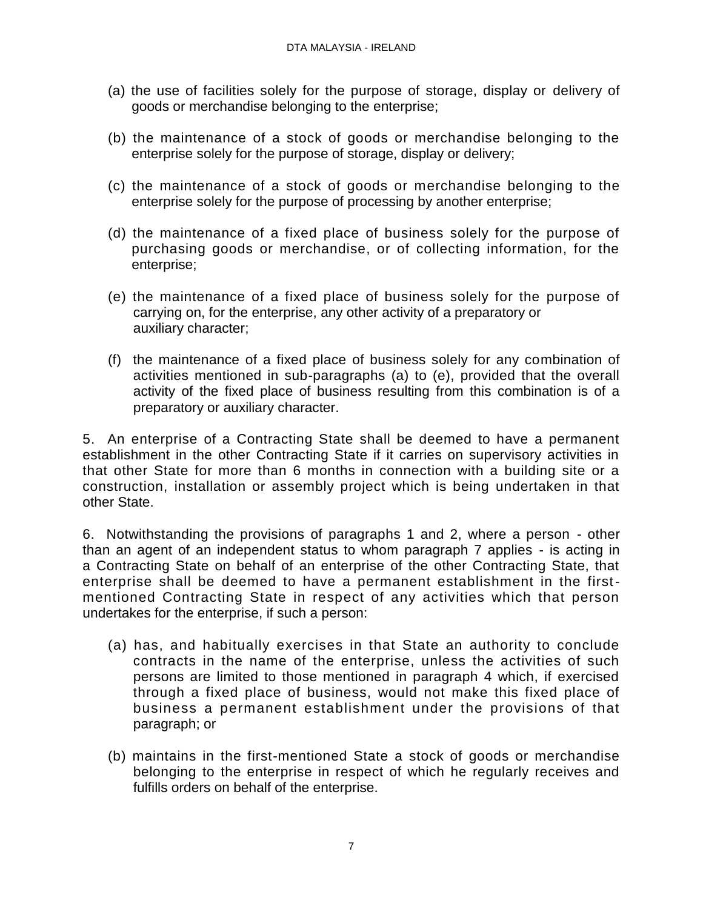- (a) the use of facilities solely for the purpose of storage, display or delivery of goods or merchandise belonging to the enterprise;
- (b) the maintenance of a stock of goods or merchandise belonging to the enterprise solely for the purpose of storage, display or delivery;
- (c) the maintenance of a stock of goods or merchandise belonging to the enterprise solely for the purpose of processing by another enterprise;
- (d) the maintenance of a fixed place of business solely for the purpose of purchasing goods or merchandise, or of collecting information, for the enterprise;
- (e) the maintenance of a fixed place of business solely for the purpose of carrying on, for the enterprise, any other activity of a preparatory or auxiliary character;
- (f) the maintenance of a fixed place of business solely for any combination of activities mentioned in sub-paragraphs (a) to (e), provided that the overall activity of the fixed place of business resulting from this combination is of a preparatory or auxiliary character.

5. An enterprise of a Contracting State shall be deemed to have a permanent establishment in the other Contracting State if it carries on supervisory activities in that other State for more than 6 months in connection with a building site or a construction, installation or assembly project which is being undertaken in that other State.

6. Notwithstanding the provisions of paragraphs 1 and 2, where a person - other than an agent of an independent status to whom paragraph 7 applies - is acting in a Contracting State on behalf of an enterprise of the other Contracting State, that enterprise shall be deemed to have a permanent establishment in the firstmentioned Contracting State in respect of any activities which that person undertakes for the enterprise, if such a person:

- (a) has, and habitually exercises in that State an authority to conclude contracts in the name of the enterprise, unless the activities of such persons are limited to those mentioned in paragraph 4 which, if exercised through a fixed place of business, would not make this fixed place of business a permanent establishment under the provisions of that paragraph; or
- (b) maintains in the first-mentioned State a stock of goods or merchandise belonging to the enterprise in respect of which he regularly receives and fulfills orders on behalf of the enterprise.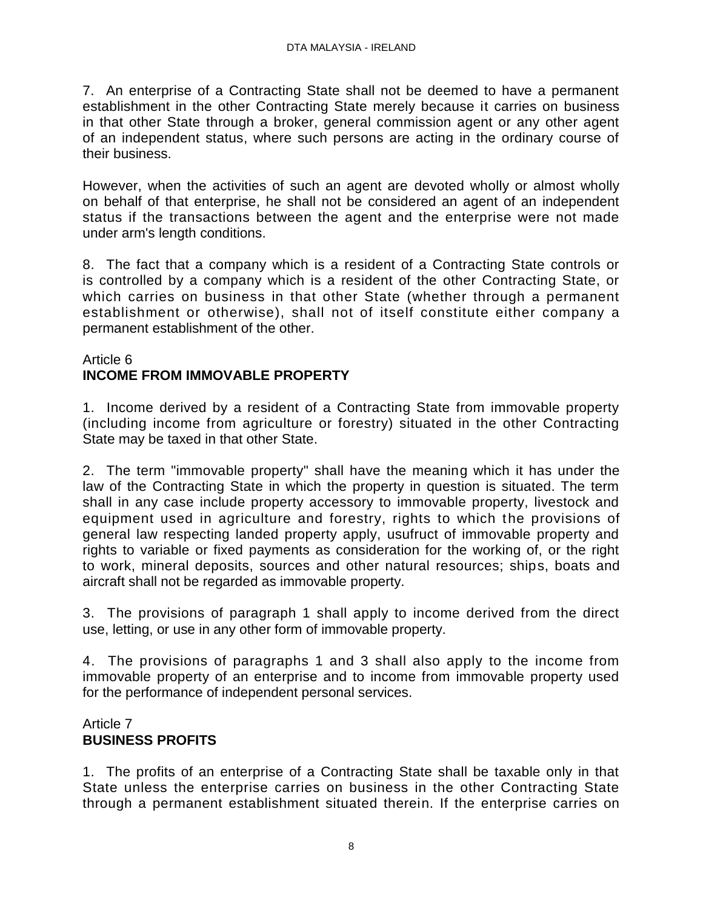7. An enterprise of a Contracting State shall not be deemed to have a permanent establishment in the other Contracting State merely because it carries on business in that other State through a broker, general commission agent or any other agent of an independent status, where such persons are acting in the ordinary course of their business.

However, when the activities of such an agent are devoted wholly or almost wholly on behalf of that enterprise, he shall not be considered an agent of an independent status if the transactions between the agent and the enterprise were not made under arm's length conditions.

8. The fact that a company which is a resident of a Contracting State controls or is controlled by a company which is a resident of the other Contracting State, or which carries on business in that other State (whether through a permanent establishment or otherwise), shall not of itself constitute either company a permanent establishment of the other.

## Article 6 **INCOME FROM IMMOVABLE PROPERTY**

1. Income derived by a resident of a Contracting State from immovable property (including income from agriculture or forestry) situated in the other Contracting State may be taxed in that other State.

2. The term "immovable property" shall have the meaning which it has under the law of the Contracting State in which the property in question is situated. The term shall in any case include property accessory to immovable property, livestock and equipment used in agriculture and forestry, rights to which the provisions of general law respecting landed property apply, usufruct of immovable property and rights to variable or fixed payments as consideration for the working of, or the right to work, mineral deposits, sources and other natural resources; ships, boats and aircraft shall not be regarded as immovable property.

3. The provisions of paragraph 1 shall apply to income derived from the direct use, letting, or use in any other form of immovable property.

4. The provisions of paragraphs 1 and 3 shall also apply to the income from immovable property of an enterprise and to income from immovable property used for the performance of independent personal services.

## Article 7 **BUSINESS PROFITS**

1. The profits of an enterprise of a Contracting State shall be taxable only in that State unless the enterprise carries on business in the other Contracting State through a permanent establishment situated therein. If the enterprise carries on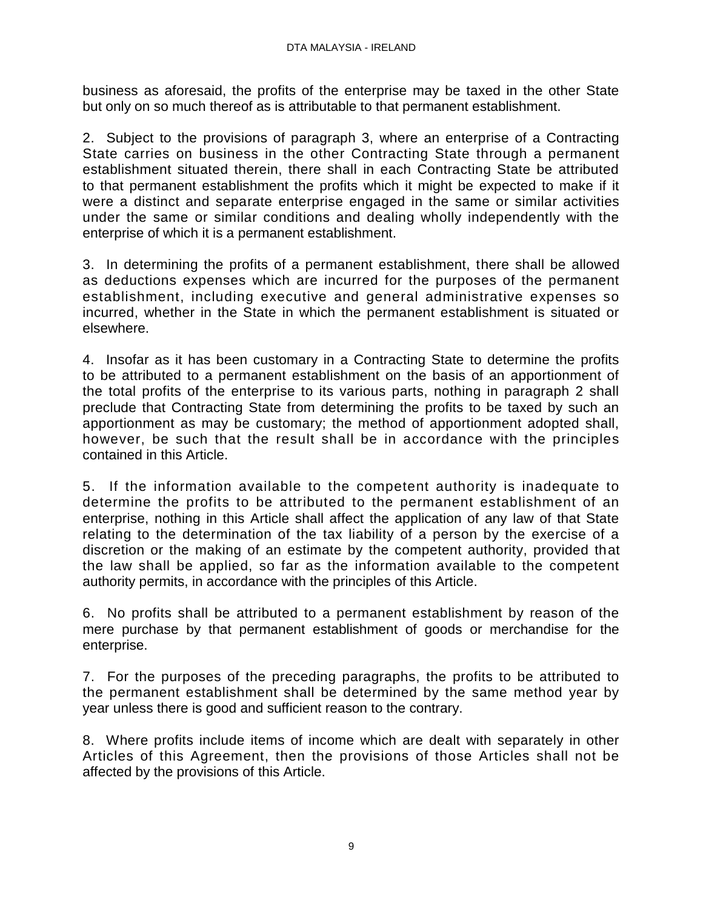business as aforesaid, the profits of the enterprise may be taxed in the other State but only on so much thereof as is attributable to that permanent establishment.

2. Subject to the provisions of paragraph 3, where an enterprise of a Contracting State carries on business in the other Contracting State through a permanent establishment situated therein, there shall in each Contracting State be attributed to that permanent establishment the profits which it might be expected to make if it were a distinct and separate enterprise engaged in the same or similar activities under the same or similar conditions and dealing wholly independently with the enterprise of which it is a permanent establishment.

3. In determining the profits of a permanent establishment, there shall be allowed as deductions expenses which are incurred for the purposes of the permanent establishment, including executive and general administrative expenses so incurred, whether in the State in which the permanent establishment is situated or elsewhere.

4. Insofar as it has been customary in a Contracting State to determine the profits to be attributed to a permanent establishment on the basis of an apportionment of the total profits of the enterprise to its various parts, nothing in paragraph 2 shall preclude that Contracting State from determining the profits to be taxed by such an apportionment as may be customary; the method of apportionment adopted shall, however, be such that the result shall be in accordance with the principles contained in this Article.

5. If the information available to the competent authority is inadequate to determine the profits to be attributed to the permanent establishment of an enterprise, nothing in this Article shall affect the application of any law of that State relating to the determination of the tax liability of a person by the exercise of a discretion or the making of an estimate by the competent authority, provided that the law shall be applied, so far as the information available to the competent authority permits, in accordance with the principles of this Article.

6. No profits shall be attributed to a permanent establishment by reason of the mere purchase by that permanent establishment of goods or merchandise for the enterprise.

7. For the purposes of the preceding paragraphs, the profits to be attributed to the permanent establishment shall be determined by the same method year by year unless there is good and sufficient reason to the contrary.

8. Where profits include items of income which are dealt with separately in other Articles of this Agreement, then the provisions of those Articles shall not be affected by the provisions of this Article.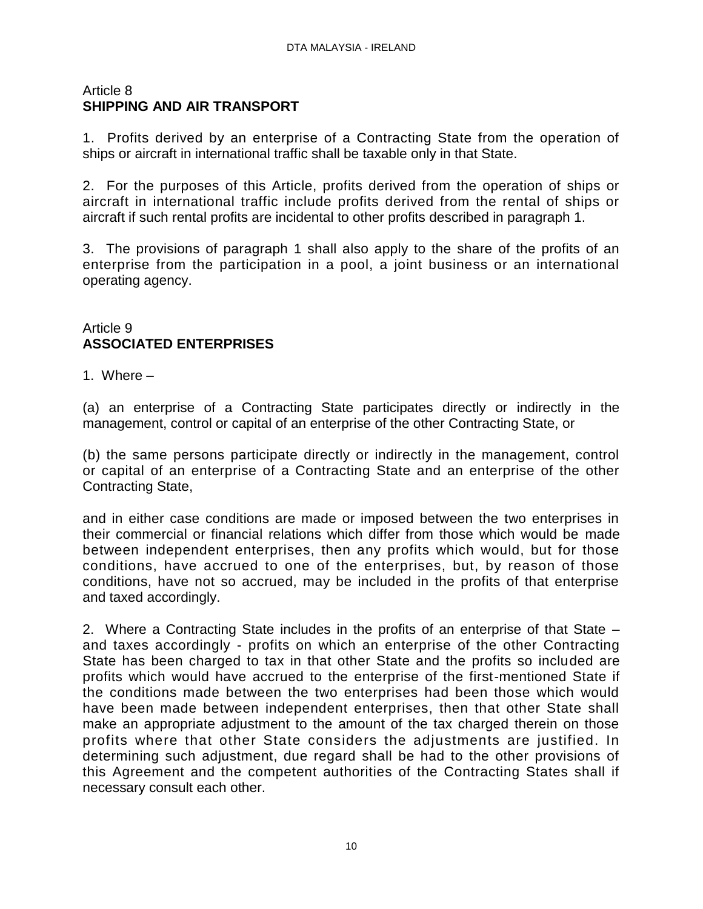#### Article 8 **SHIPPING AND AIR TRANSPORT**

1. Profits derived by an enterprise of a Contracting State from the operation of ships or aircraft in international traffic shall be taxable only in that State.

2. For the purposes of this Article, profits derived from the operation of ships or aircraft in international traffic include profits derived from the rental of ships or aircraft if such rental profits are incidental to other profits described in paragraph 1.

3. The provisions of paragraph 1 shall also apply to the share of the profits of an enterprise from the participation in a pool, a joint business or an international operating agency.

### Article 9 **ASSOCIATED ENTERPRISES**

1. Where –

(a) an enterprise of a Contracting State participates directly or indirectly in the management, control or capital of an enterprise of the other Contracting State, or

(b) the same persons participate directly or indirectly in the management, control or capital of an enterprise of a Contracting State and an enterprise of the other Contracting State,

and in either case conditions are made or imposed between the two enterprises in their commercial or financial relations which differ from those which would be made between independent enterprises, then any profits which would, but for those conditions, have accrued to one of the enterprises, but, by reason of those conditions, have not so accrued, may be included in the profits of that enterprise and taxed accordingly.

2. Where a Contracting State includes in the profits of an enterprise of that State – and taxes accordingly - profits on which an enterprise of the other Contracting State has been charged to tax in that other State and the profits so included are profits which would have accrued to the enterprise of the first-mentioned State if the conditions made between the two enterprises had been those which would have been made between independent enterprises, then that other State shall make an appropriate adjustment to the amount of the tax charged therein on those profits where that other State considers the adjustments are justified. In determining such adjustment, due regard shall be had to the other provisions of this Agreement and the competent authorities of the Contracting States shall if necessary consult each other.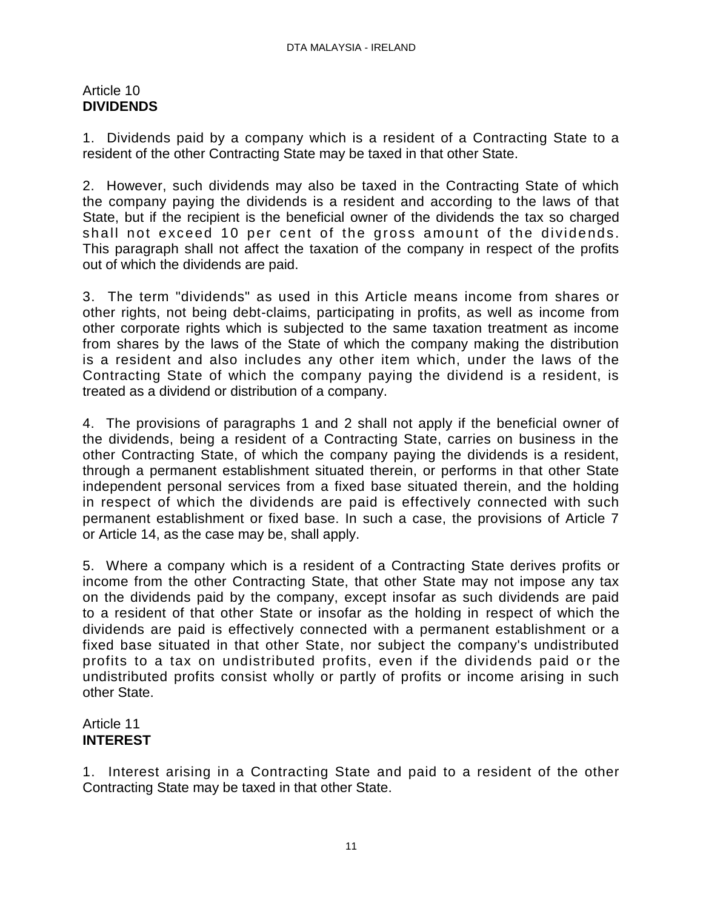#### Article 10 **DIVIDENDS**

1. Dividends paid by a company which is a resident of a Contracting State to a resident of the other Contracting State may be taxed in that other State.

2. However, such dividends may also be taxed in the Contracting State of which the company paying the dividends is a resident and according to the laws of that State, but if the recipient is the beneficial owner of the dividends the tax so charged shall not exceed 10 per cent of the gross amount of the dividends. This paragraph shall not affect the taxation of the company in respect of the profits out of which the dividends are paid.

3. The term "dividends" as used in this Article means income from shares or other rights, not being debt-claims, participating in profits, as well as income from other corporate rights which is subjected to the same taxation treatment as income from shares by the laws of the State of which the company making the distribution is a resident and also includes any other item which, under the laws of the Contracting State of which the company paying the dividend is a resident, is treated as a dividend or distribution of a company.

4. The provisions of paragraphs 1 and 2 shall not apply if the beneficial owner of the dividends, being a resident of a Contracting State, carries on business in the other Contracting State, of which the company paying the dividends is a resident, through a permanent establishment situated therein, or performs in that other State independent personal services from a fixed base situated therein, and the holding in respect of which the dividends are paid is effectively connected with such permanent establishment or fixed base. In such a case, the provisions of Article 7 or Article 14, as the case may be, shall apply.

5. Where a company which is a resident of a Contracting State derives profits or income from the other Contracting State, that other State may not impose any tax on the dividends paid by the company, except insofar as such dividends are paid to a resident of that other State or insofar as the holding in respect of which the dividends are paid is effectively connected with a permanent establishment or a fixed base situated in that other State, nor subject the company's undistributed profits to a tax on undistributed profits, even if the dividends paid or the undistributed profits consist wholly or partly of profits or income arising in such other State.

#### Article 11 **INTEREST**

1. Interest arising in a Contracting State and paid to a resident of the other Contracting State may be taxed in that other State.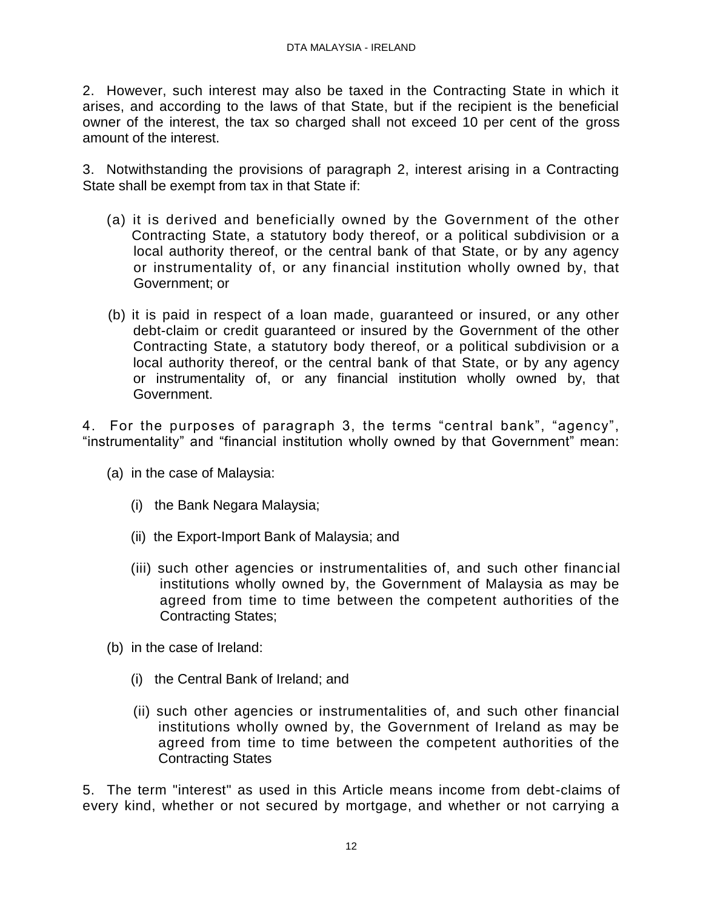2. However, such interest may also be taxed in the Contracting State in which it arises, and according to the laws of that State, but if the recipient is the beneficial owner of the interest, the tax so charged shall not exceed 10 per cent of the gross amount of the interest.

3. Notwithstanding the provisions of paragraph 2, interest arising in a Contracting State shall be exempt from tax in that State if:

- (a) it is derived and beneficially owned by the Government of the other Contracting State, a statutory body thereof, or a political subdivision or a local authority thereof, or the central bank of that State, or by any agency or instrumentality of, or any financial institution wholly owned by, that Government; or
- (b) it is paid in respect of a loan made, guaranteed or insured, or any other debt-claim or credit guaranteed or insured by the Government of the other Contracting State, a statutory body thereof, or a political subdivision or a local authority thereof, or the central bank of that State, or by any agency or instrumentality of, or any financial institution wholly owned by, that Government.

4. For the purposes of paragraph 3, the terms "central bank", "agency", "instrumentality" and "financial institution wholly owned by that Government" mean:

- (a) in the case of Malaysia:
	- (i) the Bank Negara Malaysia;
	- (ii) the Export-Import Bank of Malaysia; and
	- (iii) such other agencies or instrumentalities of, and such other financial institutions wholly owned by, the Government of Malaysia as may be agreed from time to time between the competent authorities of the Contracting States;
- (b) in the case of Ireland:
	- (i) the Central Bank of Ireland; and
	- (ii) such other agencies or instrumentalities of, and such other financial institutions wholly owned by, the Government of Ireland as may be agreed from time to time between the competent authorities of the Contracting States

5. The term "interest" as used in this Article means income from debt-claims of every kind, whether or not secured by mortgage, and whether or not carrying a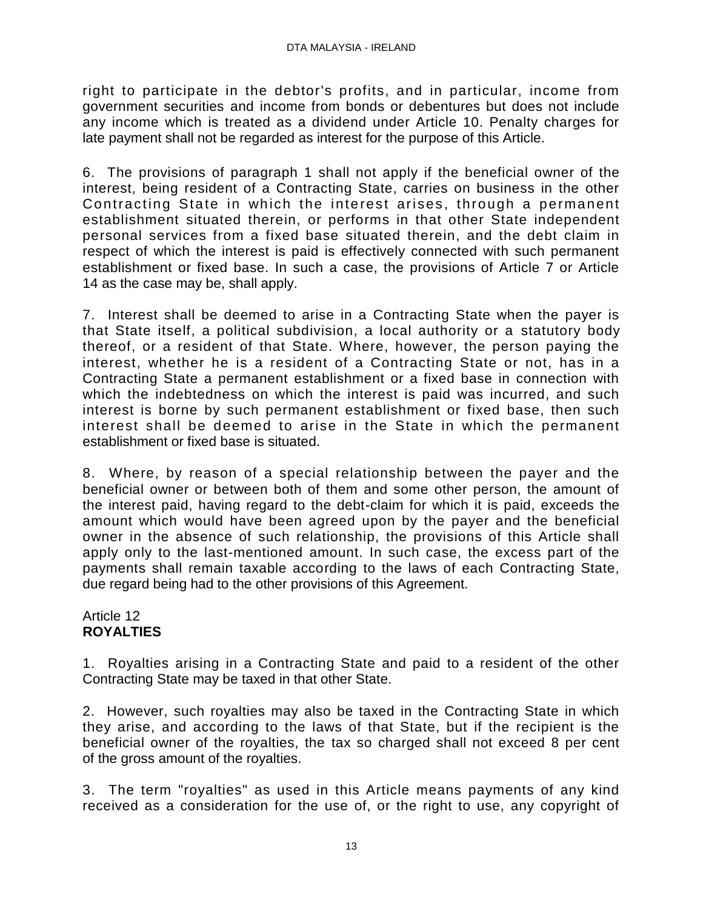right to participate in the debtor's profits, and in particular, income from government securities and income from bonds or debentures but does not include any income which is treated as a dividend under Article 10. Penalty charges for late payment shall not be regarded as interest for the purpose of this Article.

6. The provisions of paragraph 1 shall not apply if the beneficial owner of the interest, being resident of a Contracting State, carries on business in the other Contracting State in which the interest arises, through a permanent establishment situated therein, or performs in that other State independent personal services from a fixed base situated therein, and the debt claim in respect of which the interest is paid is effectively connected with such permanent establishment or fixed base. In such a case, the provisions of Article 7 or Article 14 as the case may be, shall apply.

7. Interest shall be deemed to arise in a Contracting State when the payer is that State itself, a political subdivision, a local authority or a statutory body thereof, or a resident of that State. Where, however, the person paying the interest, whether he is a resident of a Contracting State or not, has in a Contracting State a permanent establishment or a fixed base in connection with which the indebtedness on which the interest is paid was incurred, and such interest is borne by such permanent establishment or fixed base, then such interest shall be deemed to arise in the State in which the permanent establishment or fixed base is situated.

8. Where, by reason of a special relationship between the payer and the beneficial owner or between both of them and some other person, the amount of the interest paid, having regard to the debt-claim for which it is paid, exceeds the amount which would have been agreed upon by the payer and the beneficial owner in the absence of such relationship, the provisions of this Article shall apply only to the last-mentioned amount. In such case, the excess part of the payments shall remain taxable according to the laws of each Contracting State, due regard being had to the other provisions of this Agreement.

#### Article 12 **ROYALTIES**

1. Royalties arising in a Contracting State and paid to a resident of the other Contracting State may be taxed in that other State.

2. However, such royalties may also be taxed in the Contracting State in which they arise, and according to the laws of that State, but if the recipient is the beneficial owner of the royalties, the tax so charged shall not exceed 8 per cent of the gross amount of the royalties.

3. The term "royalties" as used in this Article means payments of any kind received as a consideration for the use of, or the right to use, any copyright of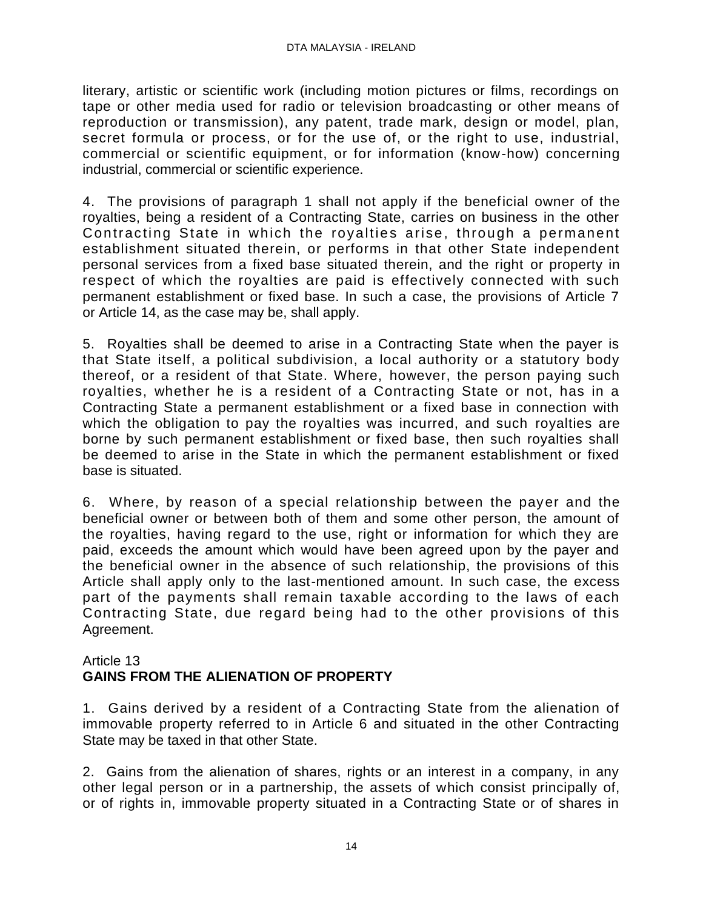literary, artistic or scientific work (including motion pictures or films, recordings on tape or other media used for radio or television broadcasting or other means of reproduction or transmission), any patent, trade mark, design or model, plan, secret formula or process, or for the use of, or the right to use, industrial, commercial or scientific equipment, or for information (know-how) concerning industrial, commercial or scientific experience.

4. The provisions of paragraph 1 shall not apply if the beneficial owner of the royalties, being a resident of a Contracting State, carries on business in the other Contracting State in which the royalties arise, through a permanent establishment situated therein, or performs in that other State independent personal services from a fixed base situated therein, and the right or property in respect of which the royalties are paid is effectively connected with such permanent establishment or fixed base. In such a case, the provisions of Article 7 or Article 14, as the case may be, shall apply.

5. Royalties shall be deemed to arise in a Contracting State when the payer is that State itself, a political subdivision, a local authority or a statutory body thereof, or a resident of that State. Where, however, the person paying such royalties, whether he is a resident of a Contracting State or not, has in a Contracting State a permanent establishment or a fixed base in connection with which the obligation to pay the royalties was incurred, and such royalties are borne by such permanent establishment or fixed base, then such royalties shall be deemed to arise in the State in which the permanent establishment or fixed base is situated.

6. Where, by reason of a special relationship between the payer and the beneficial owner or between both of them and some other person, the amount of the royalties, having regard to the use, right or information for which they are paid, exceeds the amount which would have been agreed upon by the payer and the beneficial owner in the absence of such relationship, the provisions of this Article shall apply only to the last-mentioned amount. In such case, the excess part of the payments shall remain taxable according to the laws of each Contracting State, due regard being had to the other provisions of this Agreement.

## Article 13 **GAINS FROM THE ALIENATION OF PROPERTY**

1. Gains derived by a resident of a Contracting State from the alienation of immovable property referred to in Article 6 and situated in the other Contracting State may be taxed in that other State.

2. Gains from the alienation of shares, rights or an interest in a company, in any other legal person or in a partnership, the assets of which consist principally of, or of rights in, immovable property situated in a Contracting State or of shares in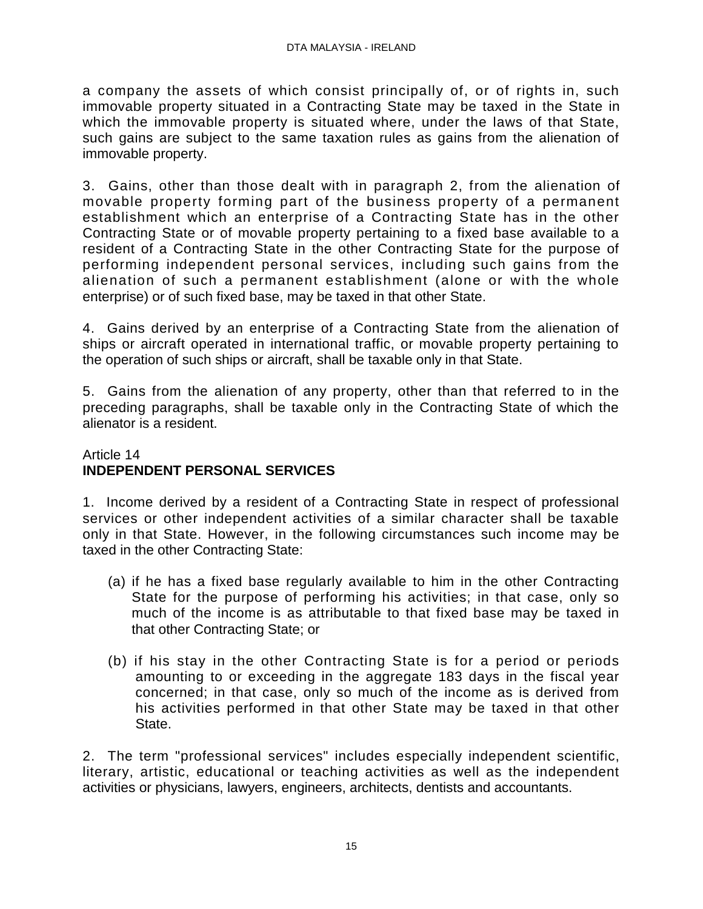a company the assets of which consist principally of, or of rights in, such immovable property situated in a Contracting State may be taxed in the State in which the immovable property is situated where, under the laws of that State, such gains are subject to the same taxation rules as gains from the alienation of immovable property.

3. Gains, other than those dealt with in paragraph 2, from the alienation of movable property forming part of the business property of a permanent establishment which an enterprise of a Contracting State has in the other Contracting State or of movable property pertaining to a fixed base available to a resident of a Contracting State in the other Contracting State for the purpose of performing independent personal services, including such gains from the alienation of such a permanent establishment (alone or with the whole enterprise) or of such fixed base, may be taxed in that other State.

4. Gains derived by an enterprise of a Contracting State from the alienation of ships or aircraft operated in international traffic, or movable property pertaining to the operation of such ships or aircraft, shall be taxable only in that State.

5. Gains from the alienation of any property, other than that referred to in the preceding paragraphs, shall be taxable only in the Contracting State of which the alienator is a resident.

## Article 14 **INDEPENDENT PERSONAL SERVICES**

1. Income derived by a resident of a Contracting State in respect of professional services or other independent activities of a similar character shall be taxable only in that State. However, in the following circumstances such income may be taxed in the other Contracting State:

- (a) if he has a fixed base regularly available to him in the other Contracting State for the purpose of performing his activities; in that case, only so much of the income is as attributable to that fixed base may be taxed in that other Contracting State; or
- (b) if his stay in the other Contracting State is for a period or periods amounting to or exceeding in the aggregate 183 days in the fiscal year concerned; in that case, only so much of the income as is derived from his activities performed in that other State may be taxed in that other State.

2. The term "professional services" includes especially independent scientific, literary, artistic, educational or teaching activities as well as the independent activities or physicians, lawyers, engineers, architects, dentists and accountants.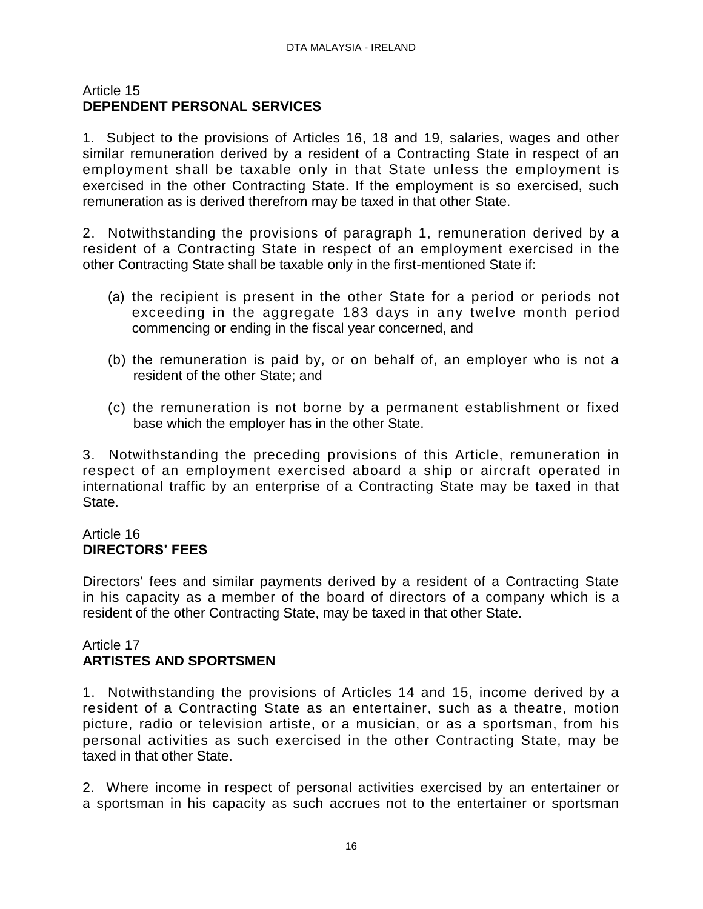### Article 15 **DEPENDENT PERSONAL SERVICES**

1. Subject to the provisions of Articles 16, 18 and 19, salaries, wages and other similar remuneration derived by a resident of a Contracting State in respect of an employment shall be taxable only in that State unless the employment is exercised in the other Contracting State. If the employment is so exercised, such remuneration as is derived therefrom may be taxed in that other State.

2. Notwithstanding the provisions of paragraph 1, remuneration derived by a resident of a Contracting State in respect of an employment exercised in the other Contracting State shall be taxable only in the first-mentioned State if:

- (a) the recipient is present in the other State for a period or periods not exceeding in the aggregate 183 days in any twelve month period commencing or ending in the fiscal year concerned, and
- (b) the remuneration is paid by, or on behalf of, an employer who is not a resident of the other State; and
- (c) the remuneration is not borne by a permanent establishment or fixed base which the employer has in the other State.

3. Notwithstanding the preceding provisions of this Article, remuneration in respect of an employment exercised aboard a ship or aircraft operated in international traffic by an enterprise of a Contracting State may be taxed in that State.

#### Article 16 **DIRECTORS' FEES**

Directors' fees and similar payments derived by a resident of a Contracting State in his capacity as a member of the board of directors of a company which is a resident of the other Contracting State, may be taxed in that other State.

#### Article 17 **ARTISTES AND SPORTSMEN**

1. Notwithstanding the provisions of Articles 14 and 15, income derived by a resident of a Contracting State as an entertainer, such as a theatre, motion picture, radio or television artiste, or a musician, or as a sportsman, from his personal activities as such exercised in the other Contracting State, may be taxed in that other State.

2. Where income in respect of personal activities exercised by an entertainer or a sportsman in his capacity as such accrues not to the entertainer or sportsman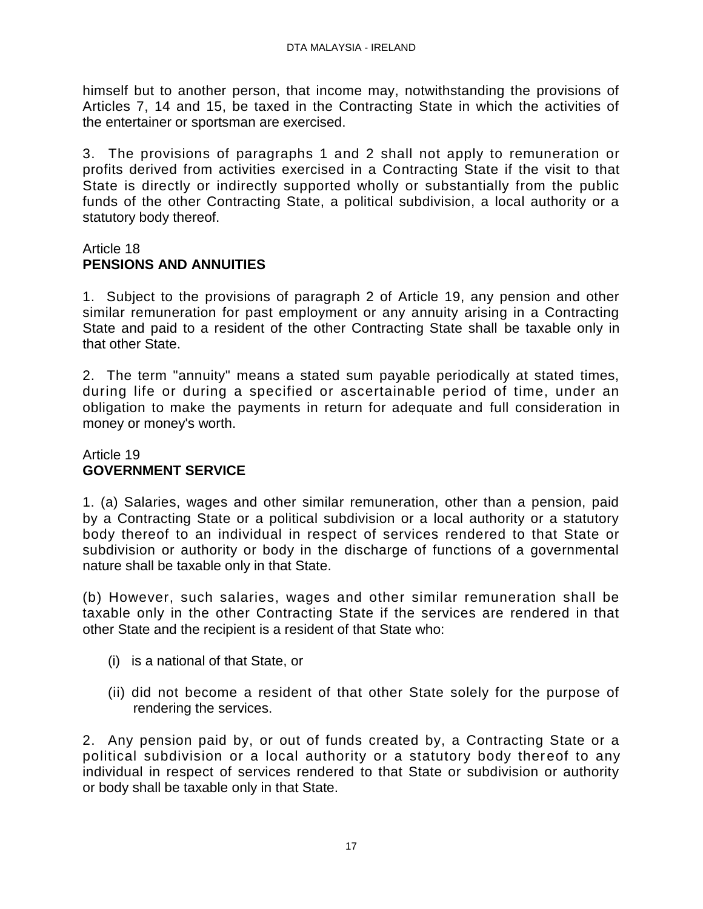himself but to another person, that income may, notwithstanding the provisions of Articles 7, 14 and 15, be taxed in the Contracting State in which the activities of the entertainer or sportsman are exercised.

3. The provisions of paragraphs 1 and 2 shall not apply to remuneration or profits derived from activities exercised in a Contracting State if the visit to that State is directly or indirectly supported wholly or substantially from the public funds of the other Contracting State, a political subdivision, a local authority or a statutory body thereof.

## Article 18 **PENSIONS AND ANNUITIES**

1. Subject to the provisions of paragraph 2 of Article 19, any pension and other similar remuneration for past employment or any annuity arising in a Contracting State and paid to a resident of the other Contracting State shall be taxable only in that other State.

2. The term "annuity" means a stated sum payable periodically at stated times, during life or during a specified or ascertainable period of time, under an obligation to make the payments in return for adequate and full consideration in money or money's worth.

## Article 19 **GOVERNMENT SERVICE**

1. (a) Salaries, wages and other similar remuneration, other than a pension, paid by a Contracting State or a political subdivision or a local authority or a statutory body thereof to an individual in respect of services rendered to that State or subdivision or authority or body in the discharge of functions of a governmental nature shall be taxable only in that State.

(b) However, such salaries, wages and other similar remuneration shall be taxable only in the other Contracting State if the services are rendered in that other State and the recipient is a resident of that State who:

- (i) is a national of that State, or
- (ii) did not become a resident of that other State solely for the purpose of rendering the services.

2. Any pension paid by, or out of funds created by, a Contracting State or a political subdivision or a local authority or a statutory body ther eof to any individual in respect of services rendered to that State or subdivision or authority or body shall be taxable only in that State.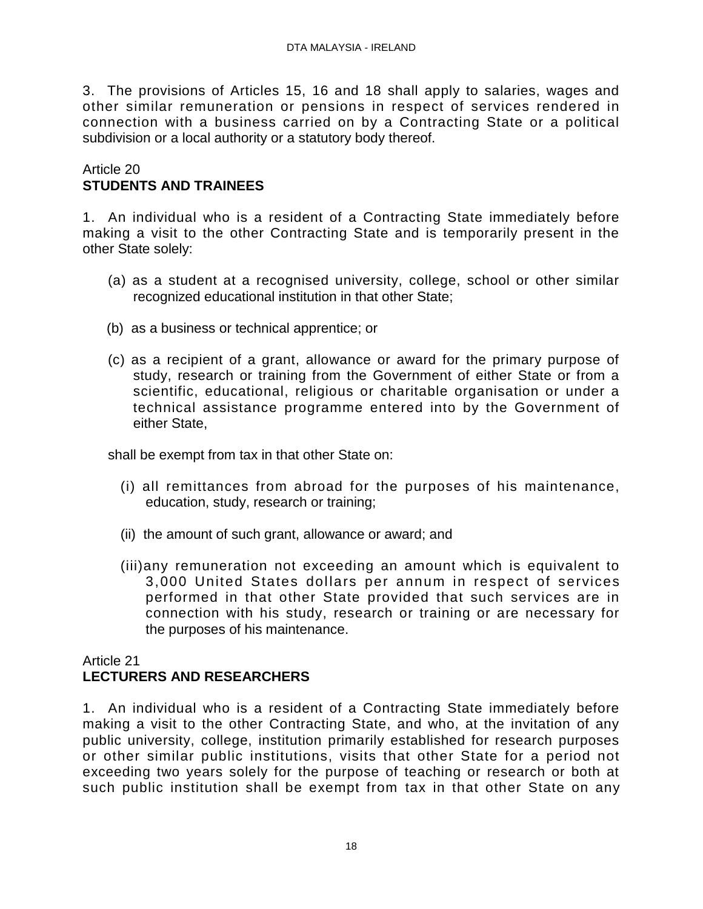3. The provisions of Articles 15, 16 and 18 shall apply to salaries, wages and other similar remuneration or pensions in respect of services rendered in connection with a business carried on by a Contracting State or a political subdivision or a local authority or a statutory body thereof.

## Article 20 **STUDENTS AND TRAINEES**

1. An individual who is a resident of a Contracting State immediately before making a visit to the other Contracting State and is temporarily present in the other State solely:

- (a) as a student at a recognised university, college, school or other similar recognized educational institution in that other State;
- (b) as a business or technical apprentice; or
- (c) as a recipient of a grant, allowance or award for the primary purpose of study, research or training from the Government of either State or from a scientific, educational, religious or charitable organisation or under a technical assistance programme entered into by the Government of either State,

shall be exempt from tax in that other State on:

- (i) all remittances from abroad for the purposes of his maintenance, education, study, research or training;
- (ii) the amount of such grant, allowance or award; and
- (iii)any remuneration not exceeding an amount which is equivalent to 3,000 United States dollars per annum in respect of services performed in that other State provided that such services are in connection with his study, research or training or are necessary for the purposes of his maintenance.

## Article 21 **LECTURERS AND RESEARCHERS**

1. An individual who is a resident of a Contracting State immediately before making a visit to the other Contracting State, and who, at the invitation of any public university, college, institution primarily established for research purposes or other similar public institutions, visits that other State for a period not exceeding two years solely for the purpose of teaching or research or both at such public institution shall be exempt from tax in that other State on any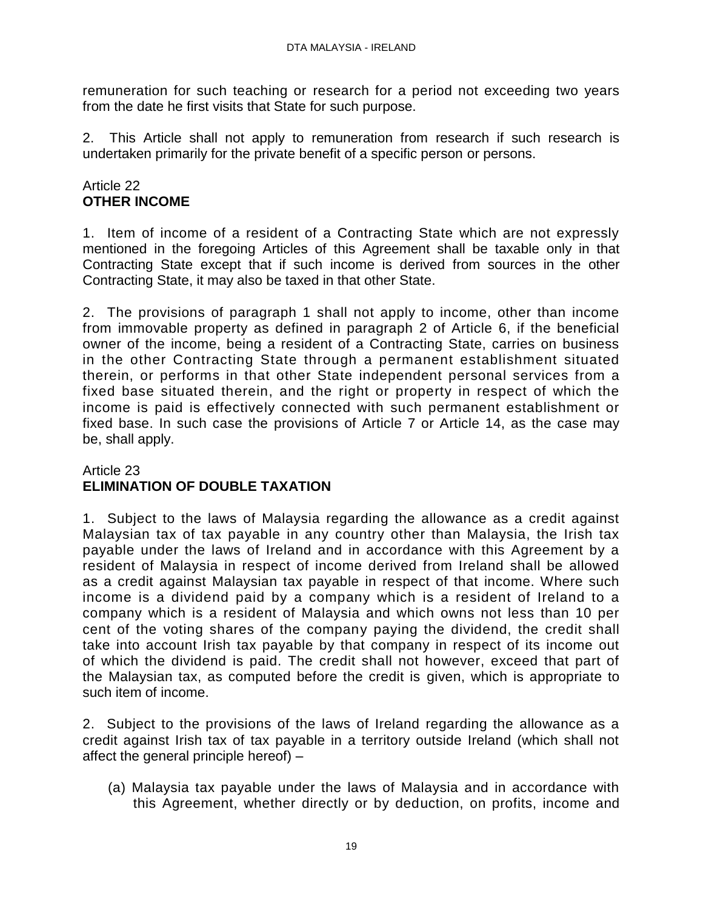remuneration for such teaching or research for a period not exceeding two years from the date he first visits that State for such purpose.

2. This Article shall not apply to remuneration from research if such research is undertaken primarily for the private benefit of a specific person or persons.

## Article 22 **OTHER INCOME**

1. Item of income of a resident of a Contracting State which are not expressly mentioned in the foregoing Articles of this Agreement shall be taxable only in that Contracting State except that if such income is derived from sources in the other Contracting State, it may also be taxed in that other State.

2. The provisions of paragraph 1 shall not apply to income, other than income from immovable property as defined in paragraph 2 of Article 6, if the beneficial owner of the income, being a resident of a Contracting State, carries on business in the other Contracting State through a permanent establishment situated therein, or performs in that other State independent personal services from a fixed base situated therein, and the right or property in respect of which the income is paid is effectively connected with such permanent establishment or fixed base. In such case the provisions of Article 7 or Article 14, as the case may be, shall apply.

## Article 23 **ELIMINATION OF DOUBLE TAXATION**

1. Subject to the laws of Malaysia regarding the allowance as a credit against Malaysian tax of tax payable in any country other than Malaysia, the Irish tax payable under the laws of Ireland and in accordance with this Agreement by a resident of Malaysia in respect of income derived from Ireland shall be allowed as a credit against Malaysian tax payable in respect of that income. Where such income is a dividend paid by a company which is a resident of Ireland to a company which is a resident of Malaysia and which owns not less than 10 per cent of the voting shares of the company paying the dividend, the credit shall take into account Irish tax payable by that company in respect of its income out of which the dividend is paid. The credit shall not however, exceed that part of the Malaysian tax, as computed before the credit is given, which is appropriate to such item of income.

2. Subject to the provisions of the laws of Ireland regarding the allowance as a credit against Irish tax of tax payable in a territory outside Ireland (which shall not affect the general principle hereof) –

(a) Malaysia tax payable under the laws of Malaysia and in accordance with this Agreement, whether directly or by deduction, on profits, income and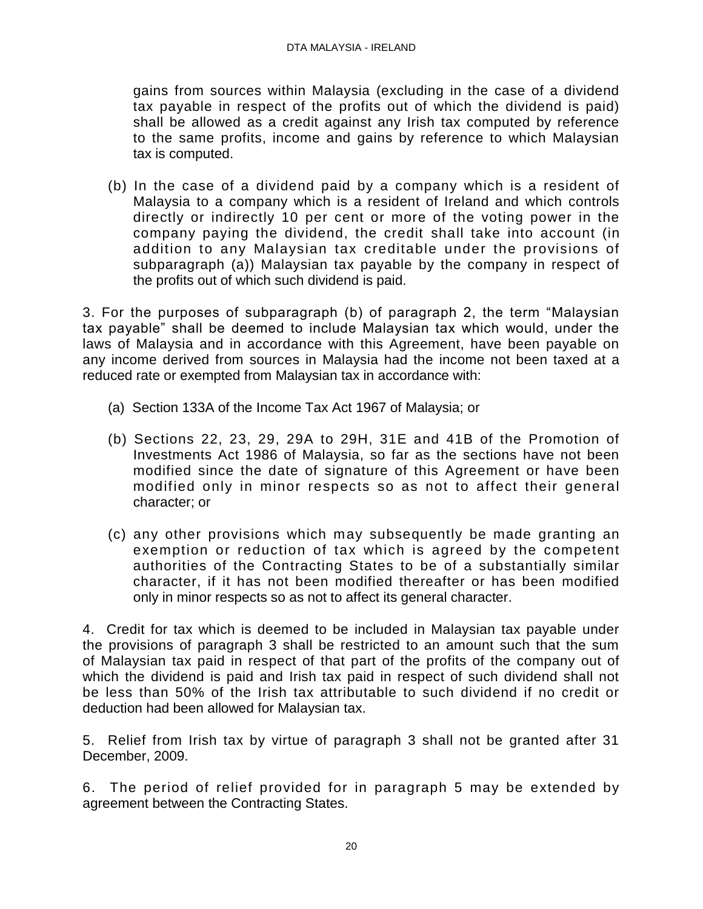gains from sources within Malaysia (excluding in the case of a dividend tax payable in respect of the profits out of which the dividend is paid) shall be allowed as a credit against any Irish tax computed by reference to the same profits, income and gains by reference to which Malaysian tax is computed.

(b) In the case of a dividend paid by a company which is a resident of Malaysia to a company which is a resident of Ireland and which controls directly or indirectly 10 per cent or more of the voting power in the company paying the dividend, the credit shall take into account (in addition to any Malaysian tax creditable under the provisions of subparagraph (a)) Malaysian tax payable by the company in respect of the profits out of which such dividend is paid.

3. For the purposes of subparagraph (b) of paragraph 2, the term "Malaysian tax payable" shall be deemed to include Malaysian tax which would, under the laws of Malaysia and in accordance with this Agreement, have been payable on any income derived from sources in Malaysia had the income not been taxed at a reduced rate or exempted from Malaysian tax in accordance with:

- (a) Section 133A of the Income Tax Act 1967 of Malaysia; or
- (b) Sections 22, 23, 29, 29A to 29H, 31E and 41B of the Promotion of Investments Act 1986 of Malaysia, so far as the sections have not been modified since the date of signature of this Agreement or have been modified only in minor respects so as not to affect their general character; or
- (c) any other provisions which may subsequently be made granting an exemption or reduction of tax which is agreed by the competent authorities of the Contracting States to be of a substantially similar character, if it has not been modified thereafter or has been modified only in minor respects so as not to affect its general character.

4. Credit for tax which is deemed to be included in Malaysian tax payable under the provisions of paragraph 3 shall be restricted to an amount such that the sum of Malaysian tax paid in respect of that part of the profits of the company out of which the dividend is paid and Irish tax paid in respect of such dividend shall not be less than 50% of the Irish tax attributable to such dividend if no credit or deduction had been allowed for Malaysian tax.

5. Relief from Irish tax by virtue of paragraph 3 shall not be granted after 31 December, 2009.

6. The period of relief provided for in paragraph 5 may be extended by agreement between the Contracting States.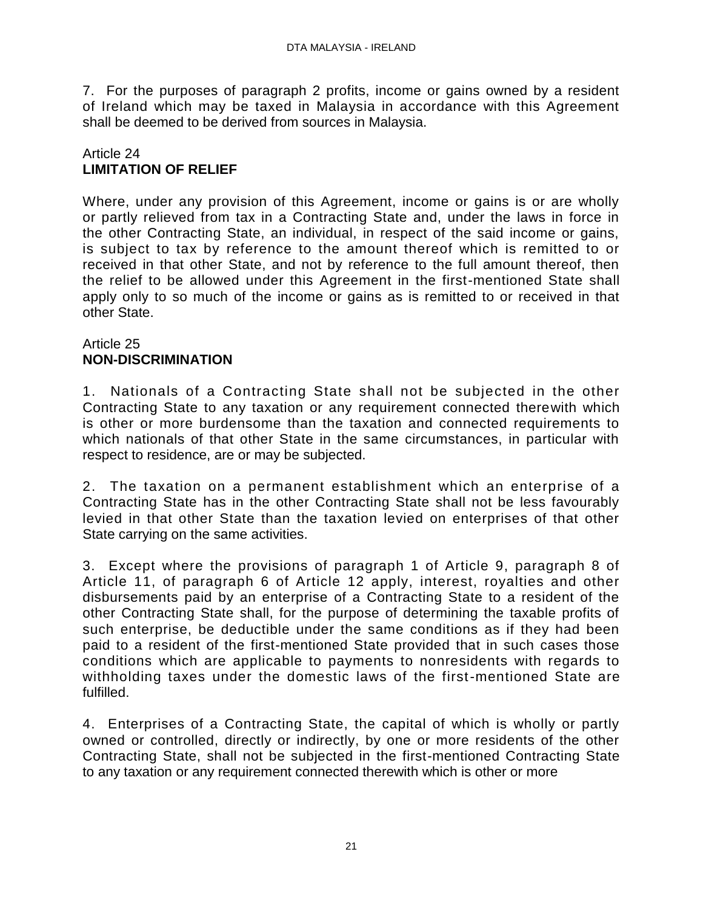7. For the purposes of paragraph 2 profits, income or gains owned by a resident of Ireland which may be taxed in Malaysia in accordance with this Agreement shall be deemed to be derived from sources in Malaysia.

## Article 24 **LIMITATION OF RELIEF**

Where, under any provision of this Agreement, income or gains is or are wholly or partly relieved from tax in a Contracting State and, under the laws in force in the other Contracting State, an individual, in respect of the said income or gains, is subject to tax by reference to the amount thereof which is remitted to or received in that other State, and not by reference to the full amount thereof, then the relief to be allowed under this Agreement in the first-mentioned State shall apply only to so much of the income or gains as is remitted to or received in that other State.

## Article 25 **NON-DISCRIMINATION**

1. Nationals of a Contracting State shall not be subjected in the other Contracting State to any taxation or any requirement connected therewith which is other or more burdensome than the taxation and connected requirements to which nationals of that other State in the same circumstances, in particular with respect to residence, are or may be subjected.

2. The taxation on a permanent establishment which an enterprise of a Contracting State has in the other Contracting State shall not be less favourably levied in that other State than the taxation levied on enterprises of that other State carrying on the same activities.

3. Except where the provisions of paragraph 1 of Article 9, paragraph 8 of Article 11, of paragraph 6 of Article 12 apply, interest, royalties and other disbursements paid by an enterprise of a Contracting State to a resident of the other Contracting State shall, for the purpose of determining the taxable profits of such enterprise, be deductible under the same conditions as if they had been paid to a resident of the first-mentioned State provided that in such cases those conditions which are applicable to payments to nonresidents with regards to withholding taxes under the domestic laws of the first-mentioned State are fulfilled.

4. Enterprises of a Contracting State, the capital of which is wholly or partly owned or controlled, directly or indirectly, by one or more residents of the other Contracting State, shall not be subjected in the first-mentioned Contracting State to any taxation or any requirement connected therewith which is other or more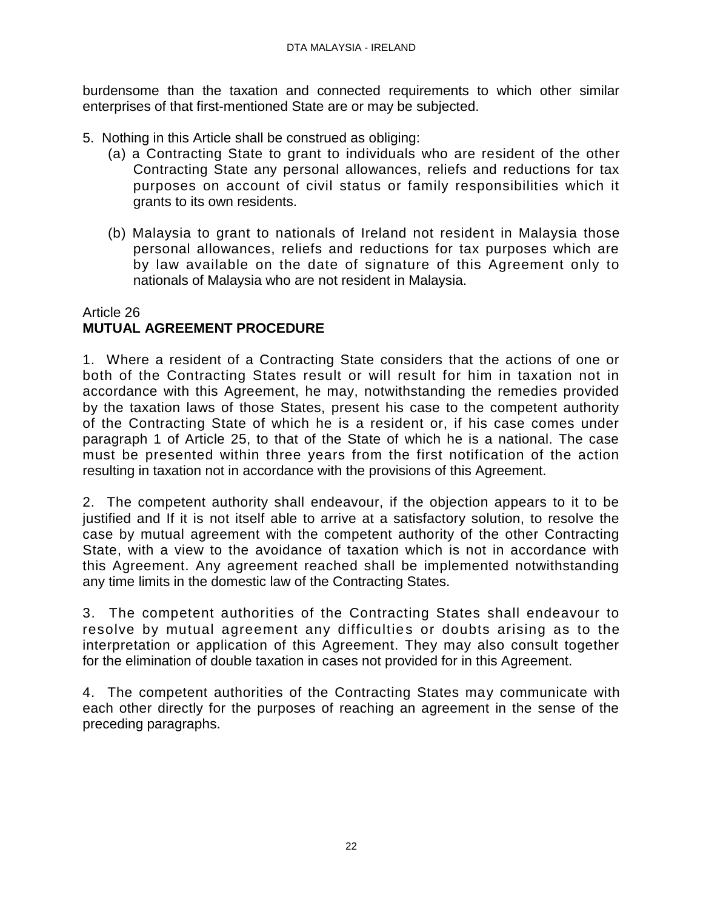burdensome than the taxation and connected requirements to which other similar enterprises of that first-mentioned State are or may be subjected.

- 5. Nothing in this Article shall be construed as obliging:
	- (a) a Contracting State to grant to individuals who are resident of the other Contracting State any personal allowances, reliefs and reductions for tax purposes on account of civil status or family responsibilities which it grants to its own residents.
	- (b) Malaysia to grant to nationals of Ireland not resident in Malaysia those personal allowances, reliefs and reductions for tax purposes which are by law available on the date of signature of this Agreement only to nationals of Malaysia who are not resident in Malaysia.

## Article 26 **MUTUAL AGREEMENT PROCEDURE**

1. Where a resident of a Contracting State considers that the actions of one or both of the Contracting States result or will result for him in taxation not in accordance with this Agreement, he may, notwithstanding the remedies provided by the taxation laws of those States, present his case to the competent authority of the Contracting State of which he is a resident or, if his case comes under paragraph 1 of Article 25, to that of the State of which he is a national. The case must be presented within three years from the first notification of the action resulting in taxation not in accordance with the provisions of this Agreement.

2. The competent authority shall endeavour, if the objection appears to it to be justified and If it is not itself able to arrive at a satisfactory solution, to resolve the case by mutual agreement with the competent authority of the other Contracting State, with a view to the avoidance of taxation which is not in accordance with this Agreement. Any agreement reached shall be implemented notwithstanding any time limits in the domestic law of the Contracting States.

3. The competent authorities of the Contracting States shall endeavour to resolve by mutual agreement any difficulties or doubts arising as to the interpretation or application of this Agreement. They may also consult together for the elimination of double taxation in cases not provided for in this Agreement.

4. The competent authorities of the Contracting States may communicate with each other directly for the purposes of reaching an agreement in the sense of the preceding paragraphs.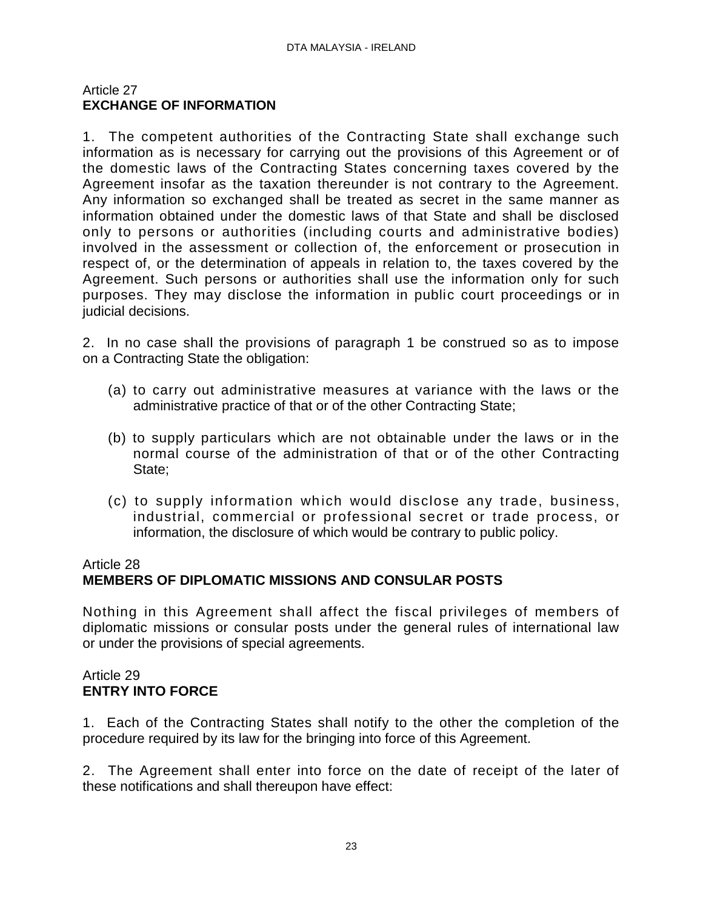#### Article 27 **EXCHANGE OF INFORMATION**

1. The competent authorities of the Contracting State shall exchange such information as is necessary for carrying out the provisions of this Agreement or of the domestic laws of the Contracting States concerning taxes covered by the Agreement insofar as the taxation thereunder is not contrary to the Agreement. Any information so exchanged shall be treated as secret in the same manner as information obtained under the domestic laws of that State and shall be disclosed only to persons or authorities (including courts and administrative bodies) involved in the assessment or collection of, the enforcement or prosecution in respect of, or the determination of appeals in relation to, the taxes covered by the Agreement. Such persons or authorities shall use the information only for such purposes. They may disclose the information in public court proceedings or in judicial decisions.

2. In no case shall the provisions of paragraph 1 be construed so as to impose on a Contracting State the obligation:

- (a) to carry out administrative measures at variance with the laws or the administrative practice of that or of the other Contracting State;
- (b) to supply particulars which are not obtainable under the laws or in the normal course of the administration of that or of the other Contracting State:
- (c) to supply information which would disclose any trade, business, industrial, commercial or professional secret or trade process, or information, the disclosure of which would be contrary to public policy.

## Article 28

## **MEMBERS OF DIPLOMATIC MISSIONS AND CONSULAR POSTS**

Nothing in this Agreement shall affect the fiscal privileges of members of diplomatic missions or consular posts under the general rules of international law or under the provisions of special agreements.

#### Article 29 **ENTRY INTO FORCE**

1. Each of the Contracting States shall notify to the other the completion of the procedure required by its law for the bringing into force of this Agreement.

2. The Agreement shall enter into force on the date of receipt of the later of these notifications and shall thereupon have effect: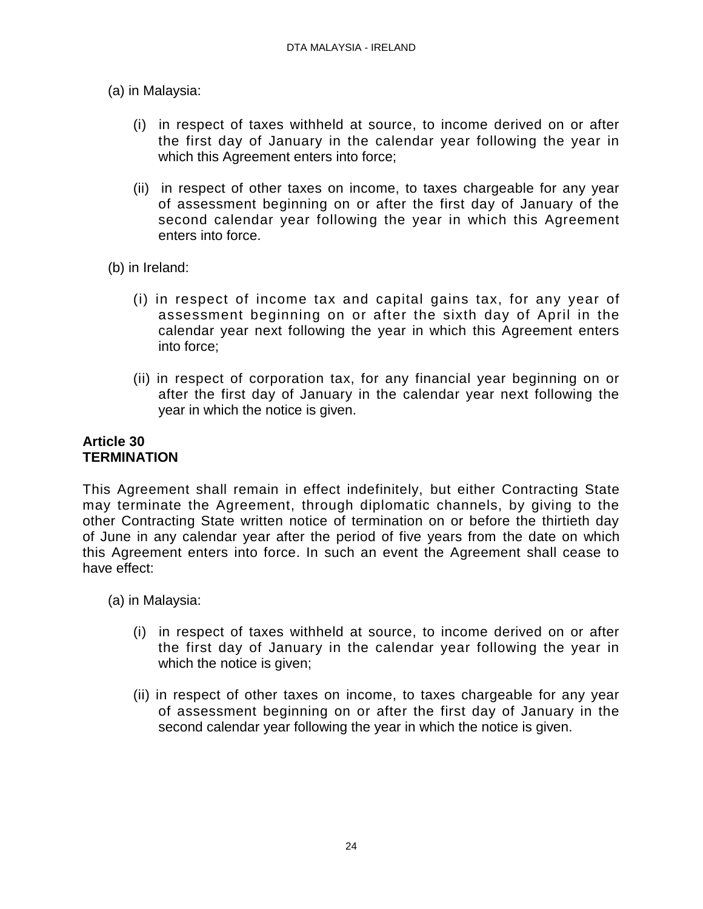- (a) in Malaysia:
	- (i) in respect of taxes withheld at source, to income derived on or after the first day of January in the calendar year following the year in which this Agreement enters into force;
	- (ii) in respect of other taxes on income, to taxes chargeable for any year of assessment beginning on or after the first day of January of the second calendar year following the year in which this Agreement enters into force.
- (b) in Ireland:
	- (i) in respect of income tax and capital gains tax, for any year of assessment beginning on or after the sixth day of April in the calendar year next following the year in which this Agreement enters into force;
	- (ii) in respect of corporation tax, for any financial year beginning on or after the first day of January in the calendar year next following the year in which the notice is given.

## **Article 30 TERMINATION**

This Agreement shall remain in effect indefinitely, but either Contracting State may terminate the Agreement, through diplomatic channels, by giving to the other Contracting State written notice of termination on or before the thirtieth day of June in any calendar year after the period of five years from the date on which this Agreement enters into force. In such an event the Agreement shall cease to have effect:

(a) in Malaysia:

- (i) in respect of taxes withheld at source, to income derived on or after the first day of January in the calendar year following the year in which the notice is given;
- (ii) in respect of other taxes on income, to taxes chargeable for any year of assessment beginning on or after the first day of January in the second calendar year following the year in which the notice is given.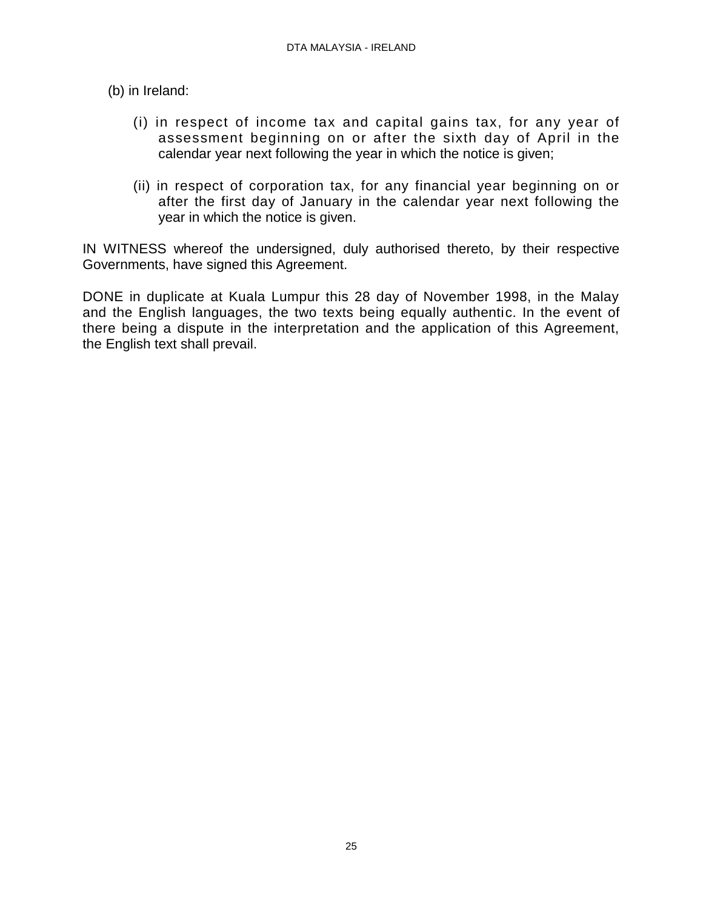- (b) in Ireland:
	- (i) in respect of income tax and capital gains tax, for any year of assessment beginning on or after the sixth day of April in the calendar year next following the year in which the notice is given;
	- (ii) in respect of corporation tax, for any financial year beginning on or after the first day of January in the calendar year next following the year in which the notice is given.

IN WITNESS whereof the undersigned, duly authorised thereto, by their respective Governments, have signed this Agreement.

DONE in duplicate at Kuala Lumpur this 28 day of November 1998, in the Malay and the English languages, the two texts being equally authentic. In the event of there being a dispute in the interpretation and the application of this Agreement, the English text shall prevail.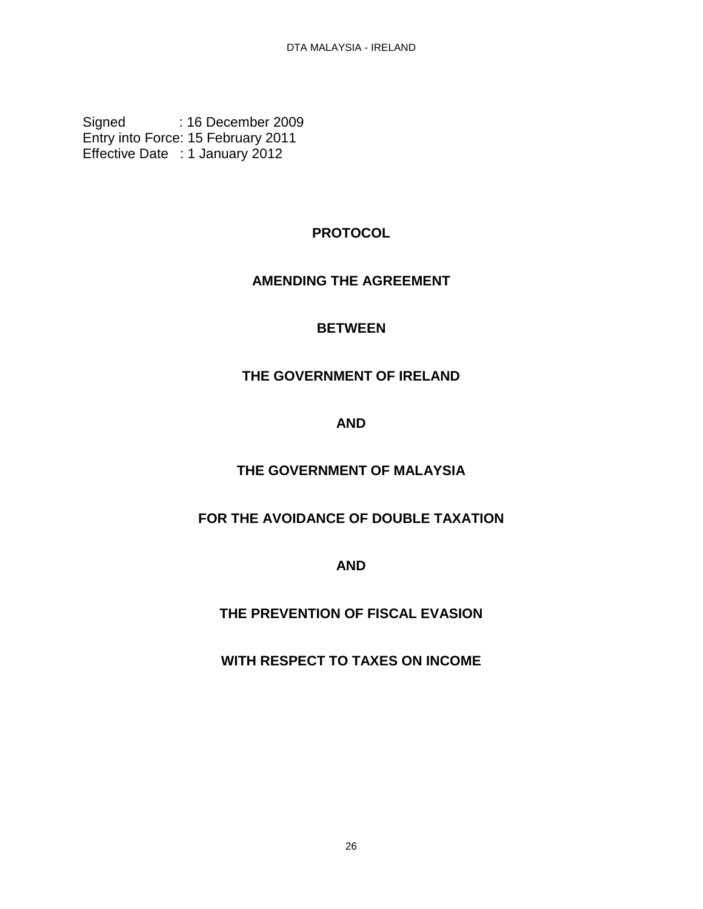<span id="page-25-0"></span>Signed : 16 December 2009 Entry into Force: 15 February 2011 Effective Date : 1 January 2012

# **PROTOCOL**

## **AMENDING THE AGREEMENT**

## **BETWEEN**

## **THE GOVERNMENT OF IRELAND**

## **AND**

## **THE GOVERNMENT OF MALAYSIA**

## **FOR THE AVOIDANCE OF DOUBLE TAXATION**

**AND**

**THE PREVENTION OF FISCAL EVASION**

**WITH RESPECT TO TAXES ON INCOME**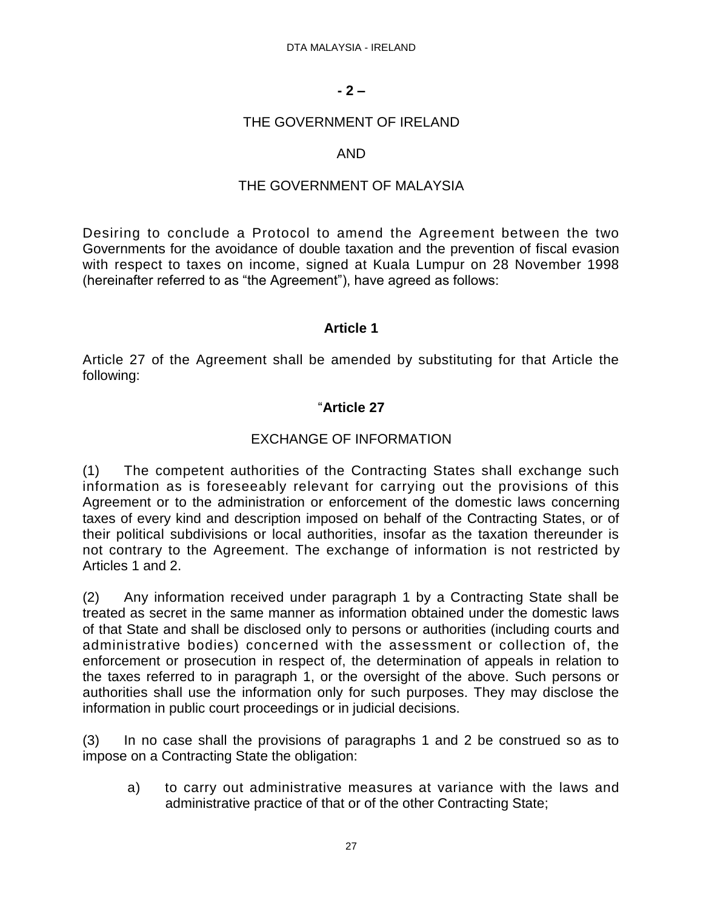#### **- 2 –**

#### THE GOVERNMENT OF IRELAND

#### AND

#### THE GOVERNMENT OF MALAYSIA

Desiring to conclude a Protocol to amend the Agreement between the two Governments for the avoidance of double taxation and the prevention of fiscal evasion with respect to taxes on income, signed at Kuala Lumpur on 28 November 1998 (hereinafter referred to as "the Agreement"), have agreed as follows:

#### **Article 1**

Article 27 of the Agreement shall be amended by substituting for that Article the following:

## "**Article 27**

#### EXCHANGE OF INFORMATION

(1) The competent authorities of the Contracting States shall exchange such information as is foreseeably relevant for carrying out the provisions of this Agreement or to the administration or enforcement of the domestic laws concerning taxes of every kind and description imposed on behalf of the Contracting States, or of their political subdivisions or local authorities, insofar as the taxation thereunder is not contrary to the Agreement. The exchange of information is not restricted by Articles 1 and 2.

(2) Any information received under paragraph 1 by a Contracting State shall be treated as secret in the same manner as information obtained under the domestic laws of that State and shall be disclosed only to persons or authorities (including courts and administrative bodies) concerned with the assessment or collection of, the enforcement or prosecution in respect of, the determination of appeals in relation to the taxes referred to in paragraph 1, or the oversight of the above. Such persons or authorities shall use the information only for such purposes. They may disclose the information in public court proceedings or in judicial decisions.

(3) In no case shall the provisions of paragraphs 1 and 2 be construed so as to impose on a Contracting State the obligation:

a) to carry out administrative measures at variance with the laws and administrative practice of that or of the other Contracting State;